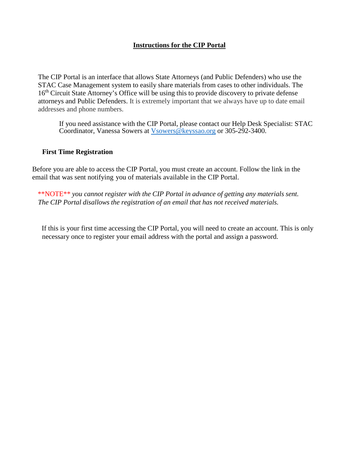## **Instructions for the CIP Portal**

The CIP Portal is an interface that allows State Attorneys (and Public Defenders) who use the STAC Case Management system to easily share materials from cases to other individuals. The 16<sup>th</sup> Circuit State Attorney's Office will be using this to provide discovery to private defense attorneys and Public Defenders. It is extremely important that we always have up to date email addresses and phone numbers.

If you need assistance with the CIP Portal, please contact our Help Desk Specialist: STAC Coordinator, Vanessa Sowers at [Vsowers@keyssao.org](mailto:Vsowers@keyssao.org) or 305-292-3400.

## **First Time Registration**

Before you are able to access the CIP Portal, you must create an account. Follow the link in the email that was sent notifying you of materials available in the CIP Portal.

\*\*NOTE\*\* *you cannot register with the CIP Portal in advance of getting any materials sent. The CIP Portal disallows the registration of an email that has not received materials.*

If this is your first time accessing the CIP Portal, you will need to create an account. This is only necessary once to register your email address with the portal and assign a password.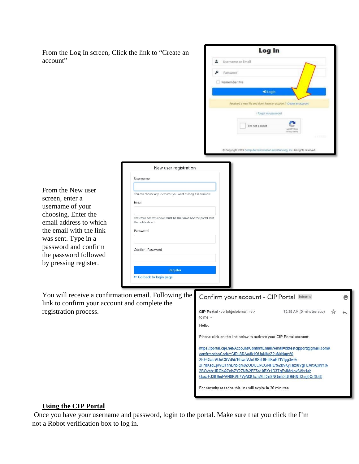| From the Log In screen, Click the link to "Create an |                                                                                     | Log In                                                                                                                      |  |  |  |  |  |  |  |  |
|------------------------------------------------------|-------------------------------------------------------------------------------------|-----------------------------------------------------------------------------------------------------------------------------|--|--|--|--|--|--|--|--|
| account"                                             |                                                                                     | Username or Email                                                                                                           |  |  |  |  |  |  |  |  |
|                                                      |                                                                                     | Password                                                                                                                    |  |  |  |  |  |  |  |  |
|                                                      |                                                                                     | Remember Me<br>#3 Login                                                                                                     |  |  |  |  |  |  |  |  |
|                                                      |                                                                                     |                                                                                                                             |  |  |  |  |  |  |  |  |
|                                                      |                                                                                     | Received a new file and don't have an account ? Create an account<br>I forgot my password                                   |  |  |  |  |  |  |  |  |
|                                                      |                                                                                     |                                                                                                                             |  |  |  |  |  |  |  |  |
|                                                      |                                                                                     | I'm not a robot                                                                                                             |  |  |  |  |  |  |  |  |
|                                                      |                                                                                     |                                                                                                                             |  |  |  |  |  |  |  |  |
|                                                      |                                                                                     | C Copyright 2019 Computer Information and Planning, Inc. All rights reserved.                                               |  |  |  |  |  |  |  |  |
|                                                      | New user registration                                                               |                                                                                                                             |  |  |  |  |  |  |  |  |
|                                                      | Username                                                                            |                                                                                                                             |  |  |  |  |  |  |  |  |
| From the New user                                    |                                                                                     |                                                                                                                             |  |  |  |  |  |  |  |  |
| screen, enter a                                      | You can choose any username you want as long it is available<br>Email               |                                                                                                                             |  |  |  |  |  |  |  |  |
| username of your                                     |                                                                                     |                                                                                                                             |  |  |  |  |  |  |  |  |
| choosing. Enter the<br>email address to which        | The email address above must be the same one the portal sent<br>the notification to |                                                                                                                             |  |  |  |  |  |  |  |  |
| the email with the link                              | Password                                                                            |                                                                                                                             |  |  |  |  |  |  |  |  |
| was sent. Type in a                                  |                                                                                     |                                                                                                                             |  |  |  |  |  |  |  |  |
| password and confirm<br>the password followed        | Confirm Password                                                                    |                                                                                                                             |  |  |  |  |  |  |  |  |
| by pressing register.                                |                                                                                     |                                                                                                                             |  |  |  |  |  |  |  |  |
|                                                      | Register<br>Go back to login page                                                   |                                                                                                                             |  |  |  |  |  |  |  |  |
|                                                      |                                                                                     |                                                                                                                             |  |  |  |  |  |  |  |  |
| You will receive a confirmation email. Following the |                                                                                     | Confirm your account - CIP Portal Inbox x<br>ē                                                                              |  |  |  |  |  |  |  |  |
| link to confirm your account and complete the        |                                                                                     |                                                                                                                             |  |  |  |  |  |  |  |  |
| registration process.                                |                                                                                     | CIP Portal <portal@cipiemail.net><br/>10:38 AM (0 minutes ago)<br/>to me <math>\sim</math></portal@cipiemail.net>           |  |  |  |  |  |  |  |  |
|                                                      |                                                                                     | Hello,                                                                                                                      |  |  |  |  |  |  |  |  |
|                                                      |                                                                                     | Please click on the link below to activate your CIP Portal account:                                                         |  |  |  |  |  |  |  |  |
|                                                      |                                                                                     | https://portal.cipi.net/Account/ConfirmEmail?email=kbtestcipport@gmail.com&<br>confirmationCode=CfDJ8DAo8k1QUpNKsZ2uMrNapv% |  |  |  |  |  |  |  |  |
|                                                      |                                                                                     | 2BEOIaoVQnO9Vd5i7BhwoVJeOtSrL9FdiKuBYfVIgg3w%                                                                               |  |  |  |  |  |  |  |  |
|                                                      |                                                                                     | 2FrdXscEpWQ1hnEhbigm0ZODCLNCGNHD%2BvKyThzI0VgFEVnx6xNY%<br>2BOvnh1IRObQZcihZY27N%2FF5s10BYr1D3TqExlMrkov6Vlv1ah             |  |  |  |  |  |  |  |  |
|                                                      |                                                                                     | QxszFJ3IOhuPVN8KVb7VyM3UcJcMJDIn9NGmh3UD6BND3oq0Cc%3D                                                                       |  |  |  |  |  |  |  |  |
|                                                      |                                                                                     | For security reasons this link will expire in 20 minutes.                                                                   |  |  |  |  |  |  |  |  |

## **Using the CIP Portal**

Once you have your username and password, login to the portal. Make sure that you click the I'm not a Robot verification box to log in.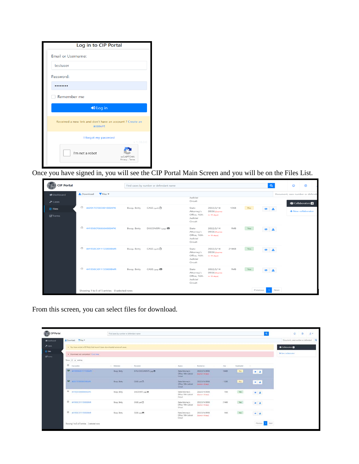| Log in to CIP Portal                                                |                              |
|---------------------------------------------------------------------|------------------------------|
| Email or Username:                                                  |                              |
| testuser                                                            |                              |
| Password:                                                           |                              |
|                                                                     |                              |
| Remember me                                                         |                              |
| $\rightarrow$ Log in                                                |                              |
| Received a new link and don't have an account? Create an<br>account |                              |
| I forgot my password                                                | $v$ 1.38.0.0                 |
| I'm not a robot                                                     | reCAPTCHA<br>Privacy - Terms |

Once you have signed in, you will see the CIP Portal Main Screen and you will be on the Files List.

| <b>CIP Portal</b>           |                                             |             | Find cases by number or defendant name |                                                            |                                            |             |     | $\alpha$              | $^{\circ}$                       | $\circ$            |  |
|-----------------------------|---------------------------------------------|-------------|----------------------------------------|------------------------------------------------------------|--------------------------------------------|-------------|-----|-----------------------|----------------------------------|--------------------|--|
| <b>N</b> Dashboard          | $T$ Files $\sim$<br>上 Download              |             |                                        | Judicial                                                   |                                            |             |     |                       | Document, case number or defenda |                    |  |
| $\blacktriangleright$ Cases |                                             |             |                                        | Circuit                                                    |                                            |             |     |                       |                                  | 축 Collaborators 2  |  |
| <b>B</b> Files              | C 442017CF003001000APK                      | Boop, Betty | CASE (aim D)                           | State<br>Attorney's                                        | 2022/3/14<br>09:56 (Expires                | <b>12KB</b> | No. | L≛.<br>$\bullet$      |                                  | + New collaborator |  |
| <b>E</b> Forms              |                                             |             |                                        | Office, 16th<br>Judicial<br>Circuit                        | in 19 days)                                |             |     |                       |                                  |                    |  |
|                             | 441950CF066666000APK                        | Boop, Betty | DISCOVERY (jpg)                        | State<br>Attorney's<br>Office, 16th<br>Judicial<br>Circuit | 2022/3/14<br>09:56 [Expires<br>in 19 days) | 1MB         | Yes | 主                     |                                  |                    |  |
|                             | $\Box$<br>441950CJ011155000BMR              | Boop, Betty | CASE (pdf) D                           | State<br>Attorney's<br>Office, 16th<br>Judicial<br>Circuit | 2022/3/14<br>09:56 [Expires<br>in 19 days) | 214KB       | Yes | $\bullet$<br><b>A</b> |                                  |                    |  |
|                             | 441950CJ011155000BMR                        | Boop, Betty | CASE (Jpg) E                           | State<br>Attorney's<br>Office, 16th<br>Judicial<br>Circuit | 2022/3/14<br>09:56 [Expires<br>in 19 days! | 1MB         | Yes |                       |                                  |                    |  |
|                             | Showing 1 to 5 of 5 entries 0 selected rows |             |                                        |                                                            |                                            |             |     | Next<br>Previous 1    |                                  |                    |  |

From this screen, you can select files for download.

| CIP Portal         |                                                                              | Find causs by number or definidant name |                            |                                                       |                                              |            |              | $\alpha$                       | $\circ$<br>$2 -$<br>ø.               |
|--------------------|------------------------------------------------------------------------------|-----------------------------------------|----------------------------|-------------------------------------------------------|----------------------------------------------|------------|--------------|--------------------------------|--------------------------------------|
| <b>W</b> Deshboard | L Download Tilles                                                            |                                         |                            |                                                       |                                              |            |              |                                | Document, case number or defendant Q |
| $P$ Cales          | . You have a total of 2 field that haven't been downloaded across all cases. |                                         |                            |                                                       |                                              |            |              |                                | <b>O</b> Collaborators               |
| <b>B</b> Files     | . Download not completed 7 Click here                                        |                                         |                            |                                                       |                                              |            |              |                                | + New collaborator                   |
| <b>Gif</b> Forms   | Show 25 # entries                                                            |                                         |                            |                                                       |                                              |            |              |                                |                                      |
|                    | O connecte                                                                   | . Defordant                             | <b>Document</b>            | Aprecy                                                | Received on                                  | Tow.       | Downloaded:  |                                |                                      |
|                    | <b>OF ALTESCATA CITETIZOSAPIC</b>                                            | Boop, Betty                             | E-FILE DOCUMENTS (Jag) ED  | State Attorney's<br>Office, 16th Judicial<br>Circuit. | 2022/3/14 09:56<br><b>Service News</b>       | 10413      | $N\pi$       | $\bullet$ $\pm$                |                                      |
|                    | W ALCOHOLOGICAN                                                              | Boob, Betty                             | CASE (pon D)               | State Attorney's<br>Office: 10th Judicial<br>Circuit  | 2022/3/14 09:56<br><b>District In Nickel</b> | 1293       | No           | ●五                             |                                      |
|                    | D 441950CF06666000APK                                                        | Boop, Betty                             | DISCOVERY Upg @<br>,,,,,,, | State Attorney's<br>Office, 16th Judicial<br>Crout    | 2022/3/14 09:56<br>Signings in 14 days)      | 1M8        | Ves          | $\bullet$ $\pm$                |                                      |
|                    | D 441950CX011155000BMR                                                       | Boop, Betty                             | CASE (pin)                 | State Attorney's<br>Office 16th Judicial<br>Crout     | 2022/3/14 09:56<br>Stores in 19 days:        | 21483      | $V_{\rm IS}$ | $\bullet \quad \blacktriangle$ |                                      |
|                    | C 441950CJ011155000SMR                                                       | Boco, Betty                             | CASE case <b>25</b>        | State Attorney's<br>Office, 16th Judicial<br>Crost    | 2022/3/14 09:56<br>Bigines in 16 days)       | <b>1MB</b> | Yes          | $\bullet$ $\perp$              |                                      |
|                    | Showing 1 to 5 of 5 entries 2 selected rows                                  |                                         |                            |                                                       |                                              |            |              | Next-<br>Previous              |                                      |